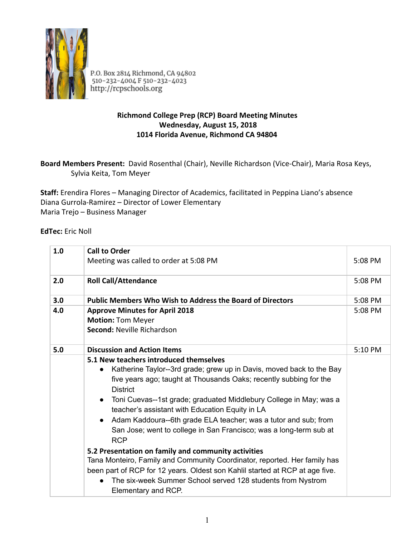

P.O. Box 2814 Richmond, CA 94802<br>510-232-4004 F 510-232-4023 http://rcpschools.org

## **Richmond College Prep (RCP) Board Meeting Minutes Wednesday, August 15, 2018 1014 Florida Avenue, Richmond CA 94804**

## **Board Members Present:**  David Rosenthal (Chair), Neville Richardson (Vice‐Chair), Maria Rosa Keys, Sylvia Keita, Tom Meyer

**Staff:**  Erendira Flores – Managing Director of Academics, facilitated in Peppina Liano's absence Diana Gurrola‐Ramirez – Director of Lower Elementary Maria Trejo – Business Manager

**EdTec: Eric Noll** 

| $1.0\,$ | <b>Call to Order</b>                                                                                                                                                                                                                                                                                                                                                                                                                                                                                                                                                                                                                                                                                                                                                                                               |           |
|---------|--------------------------------------------------------------------------------------------------------------------------------------------------------------------------------------------------------------------------------------------------------------------------------------------------------------------------------------------------------------------------------------------------------------------------------------------------------------------------------------------------------------------------------------------------------------------------------------------------------------------------------------------------------------------------------------------------------------------------------------------------------------------------------------------------------------------|-----------|
|         | Meeting was called to order at 5:08 PM                                                                                                                                                                                                                                                                                                                                                                                                                                                                                                                                                                                                                                                                                                                                                                             | 5:08 PM   |
| 2.0     | <b>Roll Call/Attendance</b>                                                                                                                                                                                                                                                                                                                                                                                                                                                                                                                                                                                                                                                                                                                                                                                        | 5:08 PM   |
| 3.0     | <b>Public Members Who Wish to Address the Board of Directors</b>                                                                                                                                                                                                                                                                                                                                                                                                                                                                                                                                                                                                                                                                                                                                                   | $5:08$ PM |
| 4.0     | <b>Approve Minutes for April 2018</b><br><b>Motion: Tom Meyer</b><br><b>Second: Neville Richardson</b>                                                                                                                                                                                                                                                                                                                                                                                                                                                                                                                                                                                                                                                                                                             | 5:08 PM   |
| 5.0     | <b>Discussion and Action Items</b>                                                                                                                                                                                                                                                                                                                                                                                                                                                                                                                                                                                                                                                                                                                                                                                 | 5:10 PM   |
|         | 5.1 New teachers introduced themselves<br>Katherine Taylor--3rd grade; grew up in Davis, moved back to the Bay<br>$\bullet$<br>five years ago; taught at Thousands Oaks; recently subbing for the<br><b>District</b><br>• Toni Cuevas--1st grade; graduated Middlebury College in May; was a<br>teacher's assistant with Education Equity in LA<br>• Adam Kaddoura--6th grade ELA teacher; was a tutor and sub; from<br>San Jose; went to college in San Francisco; was a long-term sub at<br><b>RCP</b><br>5.2 Presentation on family and community activities<br>Tana Monteiro, Family and Community Coordinator, reported. Her family has<br>been part of RCP for 12 years. Oldest son Kahlil started at RCP at age five.<br>The six-week Summer School served 128 students from Nystrom<br>Elementary and RCP. |           |